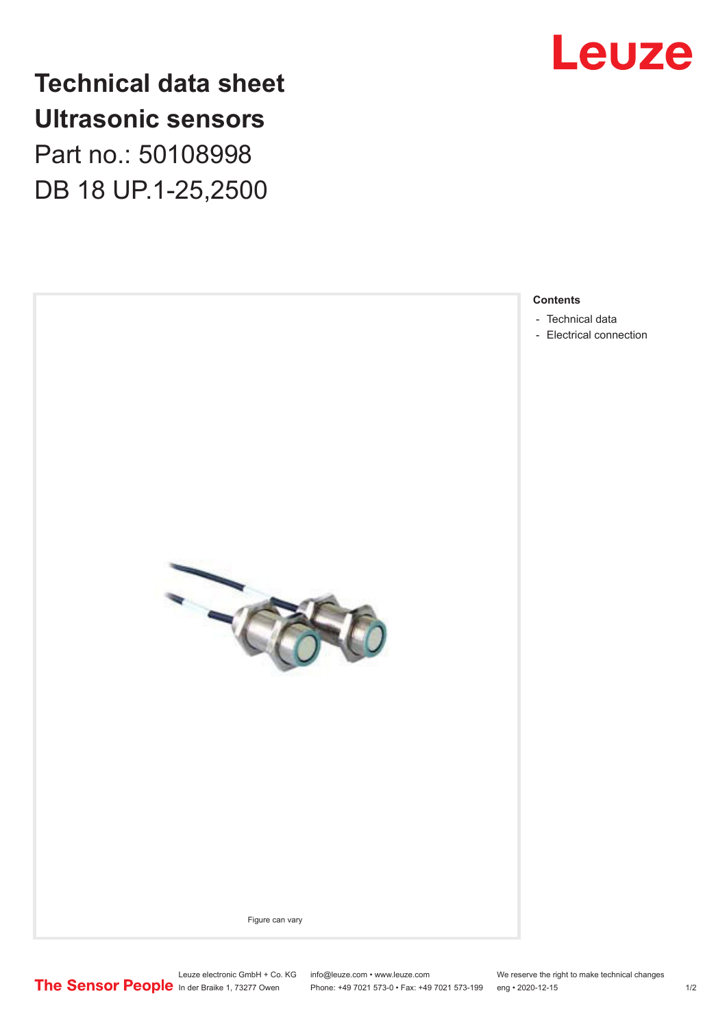

## **Technical data sheet Ultrasonic sensors** Part no.: 50108998

DB 18 UP.1-25,2500



Leuze electronic GmbH + Co. KG info@leuze.com • www.leuze.com We reserve the right to make technical changes